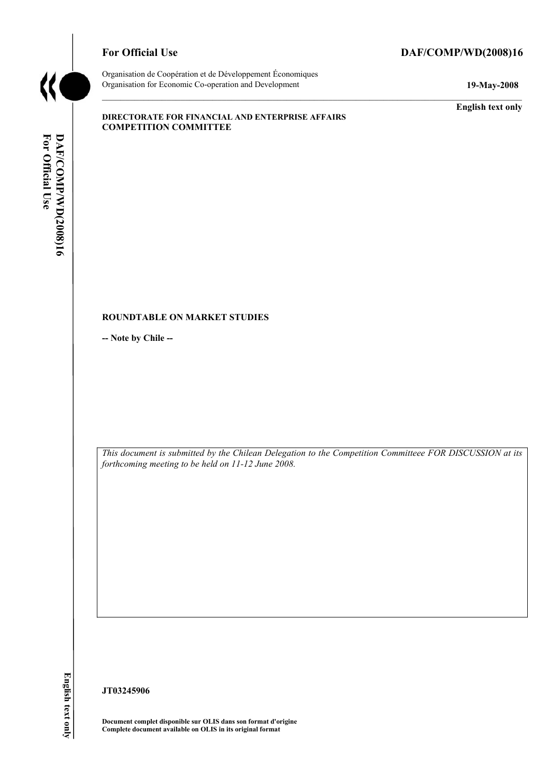

# For Official Use DAF/COMP/WD(2008)16

Organisation de Coopération et de Développement Économiques Organisation for Economic Co-operation and Development **19-May-2008** 

**English text only** 

#### **DIRECTORATE FOR FINANCIAL AND ENTERPRISE AFFAIRS COMPETITION COMMITTEE**

#### **ROUNDTABLE ON MARKET STUDIES**

**-- Note by Chile --** 

*This document is submitted by the Chilean Delegation to the Competition Committeee FOR DISCUSSION at its forthcoming meeting to be held on 11-12 June 2008.* 

English text only

**JT03245906** 

**Document complet disponible sur OLIS dans son format d'origine Complete document available on OLIS in its original format**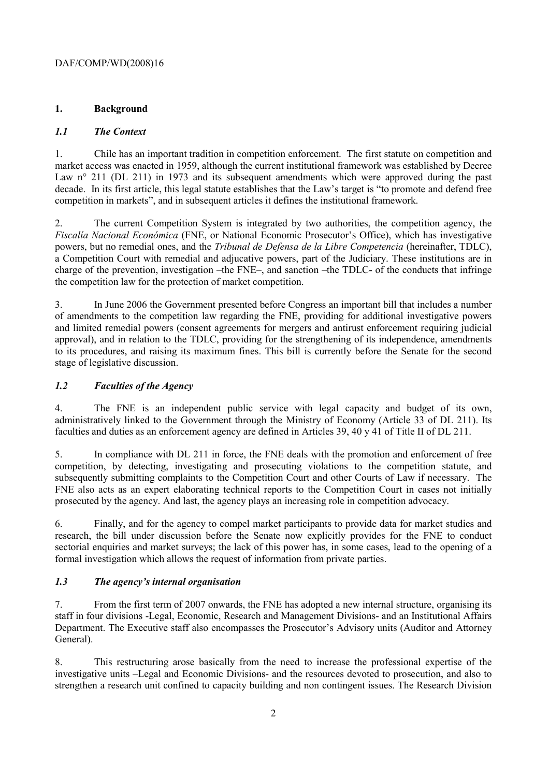# **1. Background**

### *1.1 The Context*

1. Chile has an important tradition in competition enforcement. The first statute on competition and market access was enacted in 1959, although the current institutional framework was established by Decree Law n° 211 (DL 211) in 1973 and its subsequent amendments which were approved during the past decade. In its first article, this legal statute establishes that the Law's target is "to promote and defend free competition in markets", and in subsequent articles it defines the institutional framework.

2. The current Competition System is integrated by two authorities, the competition agency, the *Fiscalía Nacional Económica* (FNE, or National Economic Prosecutor's Office), which has investigative powers, but no remedial ones, and the *Tribunal de Defensa de la Libre Competencia* (hereinafter, TDLC), a Competition Court with remedial and adjucative powers, part of the Judiciary. These institutions are in charge of the prevention, investigation –the FNE–, and sanction –the TDLC- of the conducts that infringe the competition law for the protection of market competition.

3. In June 2006 the Government presented before Congress an important bill that includes a number of amendments to the competition law regarding the FNE, providing for additional investigative powers and limited remedial powers (consent agreements for mergers and antirust enforcement requiring judicial approval), and in relation to the TDLC, providing for the strengthening of its independence, amendments to its procedures, and raising its maximum fines. This bill is currently before the Senate for the second stage of legislative discussion.

# *1.2 Faculties of the Agency*

4. The FNE is an independent public service with legal capacity and budget of its own, administratively linked to the Government through the Ministry of Economy (Article 33 of DL 211). Its faculties and duties as an enforcement agency are defined in Articles 39, 40 y 41 of Title II of DL 211.

5. In compliance with DL 211 in force, the FNE deals with the promotion and enforcement of free competition, by detecting, investigating and prosecuting violations to the competition statute, and subsequently submitting complaints to the Competition Court and other Courts of Law if necessary. The FNE also acts as an expert elaborating technical reports to the Competition Court in cases not initially prosecuted by the agency. And last, the agency plays an increasing role in competition advocacy.

6. Finally, and for the agency to compel market participants to provide data for market studies and research, the bill under discussion before the Senate now explicitly provides for the FNE to conduct sectorial enquiries and market surveys; the lack of this power has, in some cases, lead to the opening of a formal investigation which allows the request of information from private parties.

# *1.3 The agency's internal organisation*

7. From the first term of 2007 onwards, the FNE has adopted a new internal structure, organising its staff in four divisions -Legal, Economic, Research and Management Divisions- and an Institutional Affairs Department. The Executive staff also encompasses the Prosecutor's Advisory units (Auditor and Attorney General).

8. This restructuring arose basically from the need to increase the professional expertise of the investigative units –Legal and Economic Divisions- and the resources devoted to prosecution, and also to strengthen a research unit confined to capacity building and non contingent issues. The Research Division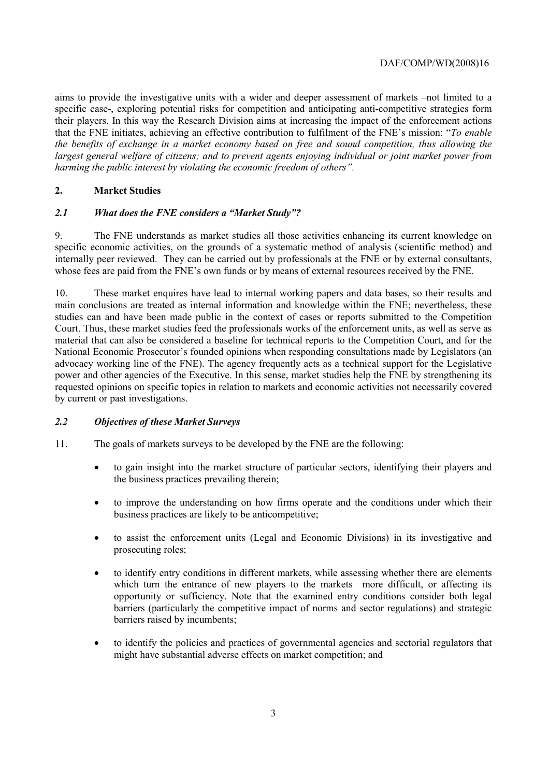aims to provide the investigative units with a wider and deeper assessment of markets –not limited to a specific case-, exploring potential risks for competition and anticipating anti-competitive strategies form their players. In this way the Research Division aims at increasing the impact of the enforcement actions that the FNE initiates, achieving an effective contribution to fulfilment of the FNE's mission: "*To enable the benefits of exchange in a market economy based on free and sound competition, thus allowing the largest general welfare of citizens; and to prevent agents enjoying individual or joint market power from harming the public interest by violating the economic freedom of others".*

### **2. Market Studies**

### *2.1 What does the FNE considers a "Market Study"?*

9. The FNE understands as market studies all those activities enhancing its current knowledge on specific economic activities, on the grounds of a systematic method of analysis (scientific method) and internally peer reviewed. They can be carried out by professionals at the FNE or by external consultants, whose fees are paid from the FNE's own funds or by means of external resources received by the FNE.

10. These market enquires have lead to internal working papers and data bases, so their results and main conclusions are treated as internal information and knowledge within the FNE; nevertheless, these studies can and have been made public in the context of cases or reports submitted to the Competition Court. Thus, these market studies feed the professionals works of the enforcement units, as well as serve as material that can also be considered a baseline for technical reports to the Competition Court, and for the National Economic Prosecutor's founded opinions when responding consultations made by Legislators (an advocacy working line of the FNE). The agency frequently acts as a technical support for the Legislative power and other agencies of the Executive. In this sense, market studies help the FNE by strengthening its requested opinions on specific topics in relation to markets and economic activities not necessarily covered by current or past investigations.

# *2.2 Objectives of these Market Surveys*

11. The goals of markets surveys to be developed by the FNE are the following:

- to gain insight into the market structure of particular sectors, identifying their players and the business practices prevailing therein;
- to improve the understanding on how firms operate and the conditions under which their business practices are likely to be anticompetitive;
- to assist the enforcement units (Legal and Economic Divisions) in its investigative and prosecuting roles;
- to identify entry conditions in different markets, while assessing whether there are elements which turn the entrance of new players to the markets more difficult, or affecting its opportunity or sufficiency. Note that the examined entry conditions consider both legal barriers (particularly the competitive impact of norms and sector regulations) and strategic barriers raised by incumbents;
- to identify the policies and practices of governmental agencies and sectorial regulators that might have substantial adverse effects on market competition; and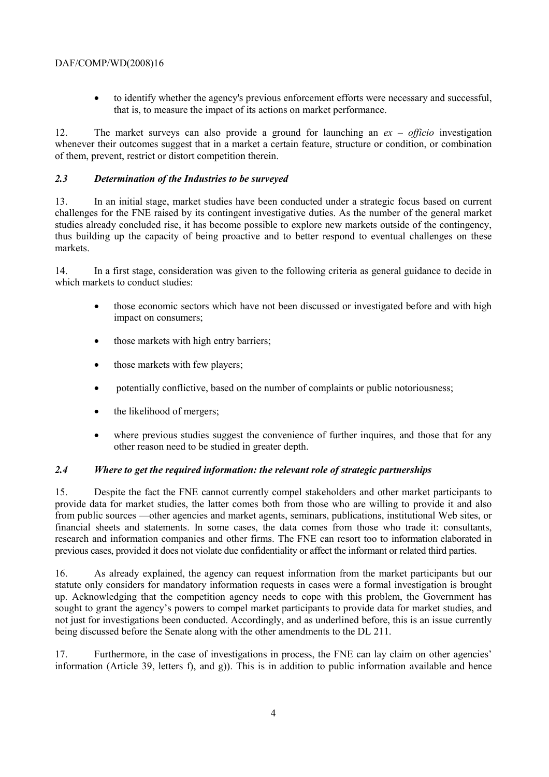• to identify whether the agency's previous enforcement efforts were necessary and successful, that is, to measure the impact of its actions on market performance.

12. The market surveys can also provide a ground for launching an *ex – officio* investigation whenever their outcomes suggest that in a market a certain feature, structure or condition, or combination of them, prevent, restrict or distort competition therein.

### *2.3 Determination of the Industries to be surveyed*

13. In an initial stage, market studies have been conducted under a strategic focus based on current challenges for the FNE raised by its contingent investigative duties. As the number of the general market studies already concluded rise, it has become possible to explore new markets outside of the contingency, thus building up the capacity of being proactive and to better respond to eventual challenges on these markets.

14. In a first stage, consideration was given to the following criteria as general guidance to decide in which markets to conduct studies:

- those economic sectors which have not been discussed or investigated before and with high impact on consumers;
- those markets with high entry barriers;
- those markets with few players;
- potentially conflictive, based on the number of complaints or public notoriousness;
- the likelihood of mergers;
- where previous studies suggest the convenience of further inquires, and those that for any other reason need to be studied in greater depth.

# *2.4 Where to get the required information: the relevant role of strategic partnerships*

15. Despite the fact the FNE cannot currently compel stakeholders and other market participants to provide data for market studies, the latter comes both from those who are willing to provide it and also from public sources —other agencies and market agents, seminars, publications, institutional Web sites, or financial sheets and statements. In some cases, the data comes from those who trade it: consultants, research and information companies and other firms. The FNE can resort too to information elaborated in previous cases, provided it does not violate due confidentiality or affect the informant or related third parties.

16. As already explained, the agency can request information from the market participants but our statute only considers for mandatory information requests in cases were a formal investigation is brought up. Acknowledging that the competition agency needs to cope with this problem, the Government has sought to grant the agency's powers to compel market participants to provide data for market studies, and not just for investigations been conducted. Accordingly, and as underlined before, this is an issue currently being discussed before the Senate along with the other amendments to the DL 211.

17. Furthermore, in the case of investigations in process, the FNE can lay claim on other agencies' information (Article 39, letters f), and g)). This is in addition to public information available and hence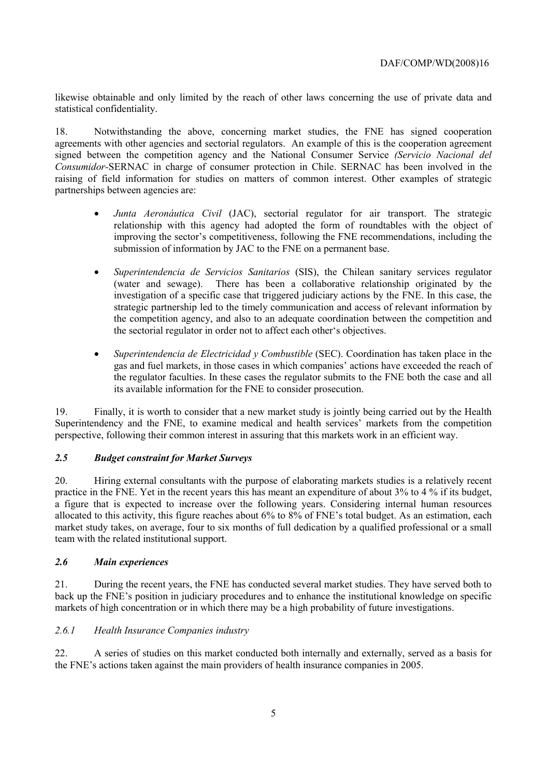likewise obtainable and only limited by the reach of other laws concerning the use of private data and statistical confidentiality.

18. Notwithstanding the above, concerning market studies, the FNE has signed cooperation agreements with other agencies and sectorial regulators. An example of this is the cooperation agreement signed between the competition agency and the National Consumer Service *(Servicio Nacional del Consumidor-*SERNAC in charge of consumer protection in Chile. SERNAC has been involved in the raising of field information for studies on matters of common interest. Other examples of strategic partnerships between agencies are:

- *Junta Aeronáutica Civil* (JAC), sectorial regulator for air transport. The strategic relationship with this agency had adopted the form of roundtables with the object of improving the sector's competitiveness, following the FNE recommendations, including the submission of information by JAC to the FNE on a permanent base.
- *Superintendencia de Servicios Sanitarios* (SIS), the Chilean sanitary services regulator (water and sewage). There has been a collaborative relationship originated by the investigation of a specific case that triggered judiciary actions by the FNE. In this case, the strategic partnership led to the timely communication and access of relevant information by the competition agency, and also to an adequate coordination between the competition and the sectorial regulator in order not to affect each other's objectives.
- *Superintendencia de Electricidad y Combustible* (SEC). Coordination has taken place in the gas and fuel markets, in those cases in which companies' actions have exceeded the reach of the regulator faculties. In these cases the regulator submits to the FNE both the case and all its available information for the FNE to consider prosecution.

19. Finally, it is worth to consider that a new market study is jointly being carried out by the Health Superintendency and the FNE, to examine medical and health services' markets from the competition perspective, following their common interest in assuring that this markets work in an efficient way.

# *2.5 Budget constraint for Market Surveys*

20. Hiring external consultants with the purpose of elaborating markets studies is a relatively recent practice in the FNE. Yet in the recent years this has meant an expenditure of about 3% to 4 % if its budget, a figure that is expected to increase over the following years. Considering internal human resources allocated to this activity, this figure reaches about 6% to 8% of FNE's total budget. As an estimation, each market study takes, on average, four to six months of full dedication by a qualified professional or a small team with the related institutional support.

#### *2.6 Main experiences*

21. During the recent years, the FNE has conducted several market studies. They have served both to back up the FNE's position in judiciary procedures and to enhance the institutional knowledge on specific markets of high concentration or in which there may be a high probability of future investigations.

#### *2.6.1 Health Insurance Companies industry*

22. A series of studies on this market conducted both internally and externally, served as a basis for the FNE's actions taken against the main providers of health insurance companies in 2005.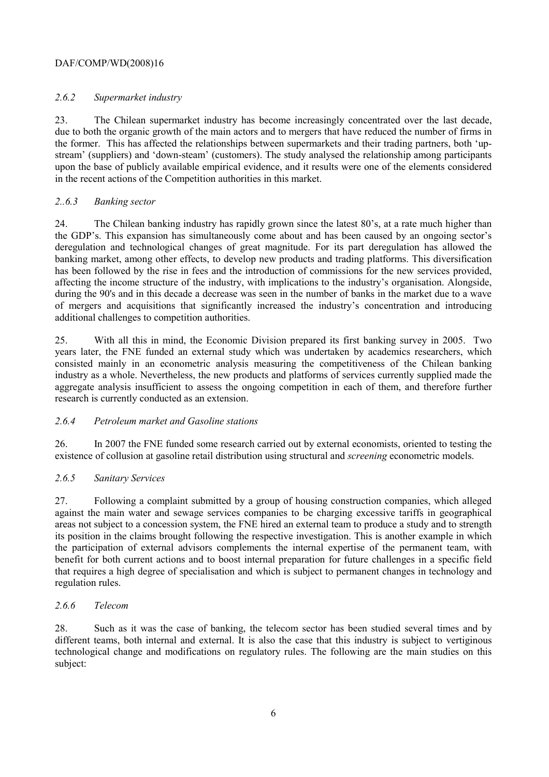### *2.6.2 Supermarket industry*

23. The Chilean supermarket industry has become increasingly concentrated over the last decade, due to both the organic growth of the main actors and to mergers that have reduced the number of firms in the former. This has affected the relationships between supermarkets and their trading partners, both 'upstream' (suppliers) and 'down-steam' (customers). The study analysed the relationship among participants upon the base of publicly available empirical evidence, and it results were one of the elements considered in the recent actions of the Competition authorities in this market.

### *2..6.3 Banking sector*

24. The Chilean banking industry has rapidly grown since the latest 80's, at a rate much higher than the GDP's. This expansion has simultaneously come about and has been caused by an ongoing sector's deregulation and technological changes of great magnitude. For its part deregulation has allowed the banking market, among other effects, to develop new products and trading platforms. This diversification has been followed by the rise in fees and the introduction of commissions for the new services provided, affecting the income structure of the industry, with implications to the industry's organisation. Alongside, during the 90's and in this decade a decrease was seen in the number of banks in the market due to a wave of mergers and acquisitions that significantly increased the industry's concentration and introducing additional challenges to competition authorities.

25. With all this in mind, the Economic Division prepared its first banking survey in 2005. Two years later, the FNE funded an external study which was undertaken by academics researchers, which consisted mainly in an econometric analysis measuring the competitiveness of the Chilean banking industry as a whole. Nevertheless, the new products and platforms of services currently supplied made the aggregate analysis insufficient to assess the ongoing competition in each of them, and therefore further research is currently conducted as an extension.

# *2.6.4 Petroleum market and Gasoline stations*

26. In 2007 the FNE funded some research carried out by external economists, oriented to testing the existence of collusion at gasoline retail distribution using structural and *screening* econometric models.

# *2.6.5 Sanitary Services*

27. Following a complaint submitted by a group of housing construction companies, which alleged against the main water and sewage services companies to be charging excessive tariffs in geographical areas not subject to a concession system, the FNE hired an external team to produce a study and to strength its position in the claims brought following the respective investigation. This is another example in which the participation of external advisors complements the internal expertise of the permanent team, with benefit for both current actions and to boost internal preparation for future challenges in a specific field that requires a high degree of specialisation and which is subject to permanent changes in technology and regulation rules.

#### *2.6.6 Telecom*

28. Such as it was the case of banking, the telecom sector has been studied several times and by different teams, both internal and external. It is also the case that this industry is subject to vertiginous technological change and modifications on regulatory rules. The following are the main studies on this subject: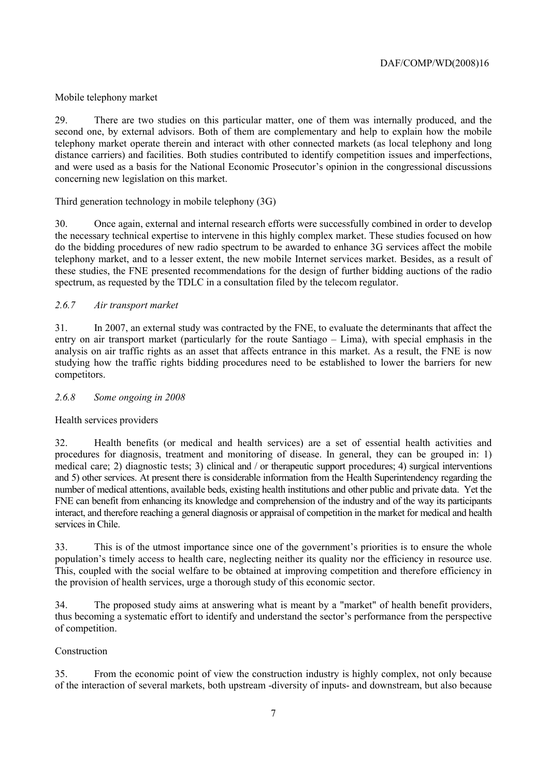# Mobile telephony market

29. There are two studies on this particular matter, one of them was internally produced, and the second one, by external advisors. Both of them are complementary and help to explain how the mobile telephony market operate therein and interact with other connected markets (as local telephony and long distance carriers) and facilities. Both studies contributed to identify competition issues and imperfections, and were used as a basis for the National Economic Prosecutor's opinion in the congressional discussions concerning new legislation on this market.

### Third generation technology in mobile telephony (3G)

30. Once again, external and internal research efforts were successfully combined in order to develop the necessary technical expertise to intervene in this highly complex market. These studies focused on how do the bidding procedures of new radio spectrum to be awarded to enhance 3G services affect the mobile telephony market, and to a lesser extent, the new mobile Internet services market. Besides, as a result of these studies, the FNE presented recommendations for the design of further bidding auctions of the radio spectrum, as requested by the TDLC in a consultation filed by the telecom regulator.

### *2.6.7 Air transport market*

31. In 2007, an external study was contracted by the FNE, to evaluate the determinants that affect the entry on air transport market (particularly for the route Santiago – Lima), with special emphasis in the analysis on air traffic rights as an asset that affects entrance in this market. As a result, the FNE is now studying how the traffic rights bidding procedures need to be established to lower the barriers for new competitors.

#### *2.6.8 Some ongoing in 2008*

#### Health services providers

32. Health benefits (or medical and health services) are a set of essential health activities and procedures for diagnosis, treatment and monitoring of disease. In general, they can be grouped in: 1) medical care; 2) diagnostic tests; 3) clinical and / or therapeutic support procedures; 4) surgical interventions and 5) other services. At present there is considerable information from the Health Superintendency regarding the number of medical attentions, available beds, existing health institutions and other public and private data. Yet the FNE can benefit from enhancing its knowledge and comprehension of the industry and of the way its participants interact, and therefore reaching a general diagnosis or appraisal of competition in the market for medical and health services in Chile.

33. This is of the utmost importance since one of the government's priorities is to ensure the whole population's timely access to health care, neglecting neither its quality nor the efficiency in resource use. This, coupled with the social welfare to be obtained at improving competition and therefore efficiency in the provision of health services, urge a thorough study of this economic sector.

34. The proposed study aims at answering what is meant by a "market" of health benefit providers, thus becoming a systematic effort to identify and understand the sector's performance from the perspective of competition.

#### Construction

35. From the economic point of view the construction industry is highly complex, not only because of the interaction of several markets, both upstream -diversity of inputs- and downstream, but also because